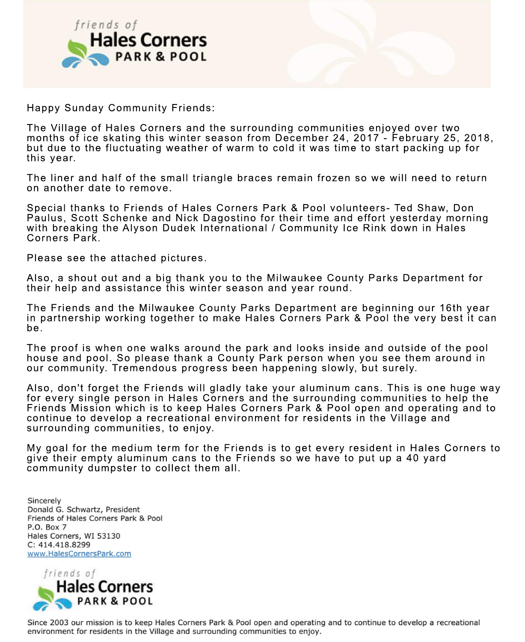

Happy Sunday Community Friends:

The Village of Hales Corners and the surrounding communities enjoyed over two months of ice skating this winter season from December 24, 2017 - February 25, 2018, but due to the fluctuating weather of warm to cold it was time to start packing up for this year.

The liner and half of the small triangle braces remain frozen so we will need to return on another date to remove.

Special thanks to Friends of Hales Corners Park & Pool volunteers- Ted Shaw, Don Paulus, Scott Schenke and Nick Dagostino for their time and effort yesterday morning with breaking the Alyson Dudek International / Community Ice Rink down in Hales Corners Park.

Please see the attached pictures.

Also, a shout out and a big thank you to the Milwaukee County Parks Department for their help and assistance this winter season and year round.

The Friends and the Milwaukee County Parks Department are beginning our 16th year in partnership working together to make Hales Corners Park & Pool the very best it can be.

The proof is when one walks around the park and looks inside and outside of the pool house and pool. So please thank a County Park person when you see them around in our community. Tremendous progress been happening slowly, but surely.

Also, don't forget the Friends will gladly take your aluminum cans. This is one huge way for every single person in Hales Corners and the surrounding communities to help the Friends Mission which is to keep Hales Corners Park & Pool open and operating and to continue to develop a recreational environment for residents in the Village and surrounding communities, to enjoy.

My goal for the medium term for the Friends is to get every resident in Hales Corners to give their empty aluminum cans to the Friends so we have to put up a 40 yard community dumpster to collect them all.

Sincerely Donald G. Schwartz, President Friends of Hales Corners Park & Pool P.O. Box 7 Hales Corners, WI 53130 C: 414.418.8299 www.HalesCornersPark.com



Since 2003 our mission is to keep Hales Corners Park & Pool open and operating and to continue to develop a recreational environment for residents in the Village and surrounding communities to enjoy.